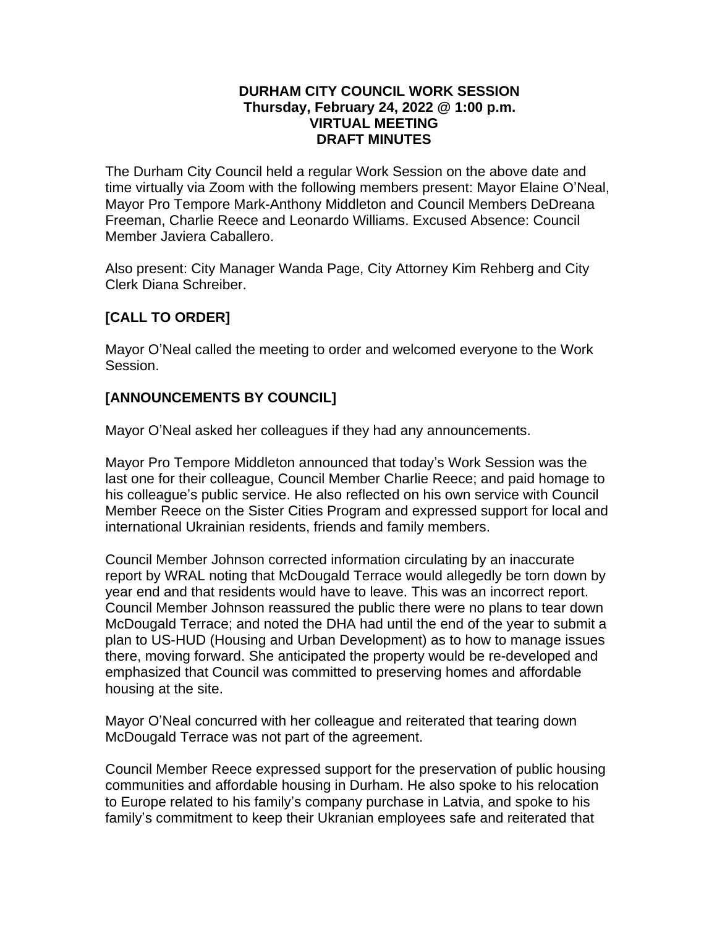#### **DURHAM CITY COUNCIL WORK SESSION Thursday, February 24, 2022 @ 1:00 p.m. VIRTUAL MEETING DRAFT MINUTES**

The Durham City Council held a regular Work Session on the above date and time virtually via Zoom with the following members present: Mayor Elaine O'Neal, Mayor Pro Tempore Mark-Anthony Middleton and Council Members DeDreana Freeman, Charlie Reece and Leonardo Williams. Excused Absence: Council Member Javiera Caballero.

Also present: City Manager Wanda Page, City Attorney Kim Rehberg and City Clerk Diana Schreiber.

# **[CALL TO ORDER]**

Mayor O'Neal called the meeting to order and welcomed everyone to the Work Session.

## **[ANNOUNCEMENTS BY COUNCIL]**

Mayor O'Neal asked her colleagues if they had any announcements.

Mayor Pro Tempore Middleton announced that today's Work Session was the last one for their colleague, Council Member Charlie Reece; and paid homage to his colleague's public service. He also reflected on his own service with Council Member Reece on the Sister Cities Program and expressed support for local and international Ukrainian residents, friends and family members.

Council Member Johnson corrected information circulating by an inaccurate report by WRAL noting that McDougald Terrace would allegedly be torn down by year end and that residents would have to leave. This was an incorrect report. Council Member Johnson reassured the public there were no plans to tear down McDougald Terrace; and noted the DHA had until the end of the year to submit a plan to US-HUD (Housing and Urban Development) as to how to manage issues there, moving forward. She anticipated the property would be re-developed and emphasized that Council was committed to preserving homes and affordable housing at the site.

Mayor O'Neal concurred with her colleague and reiterated that tearing down McDougald Terrace was not part of the agreement.

Council Member Reece expressed support for the preservation of public housing communities and affordable housing in Durham. He also spoke to his relocation to Europe related to his family's company purchase in Latvia, and spoke to his family's commitment to keep their Ukranian employees safe and reiterated that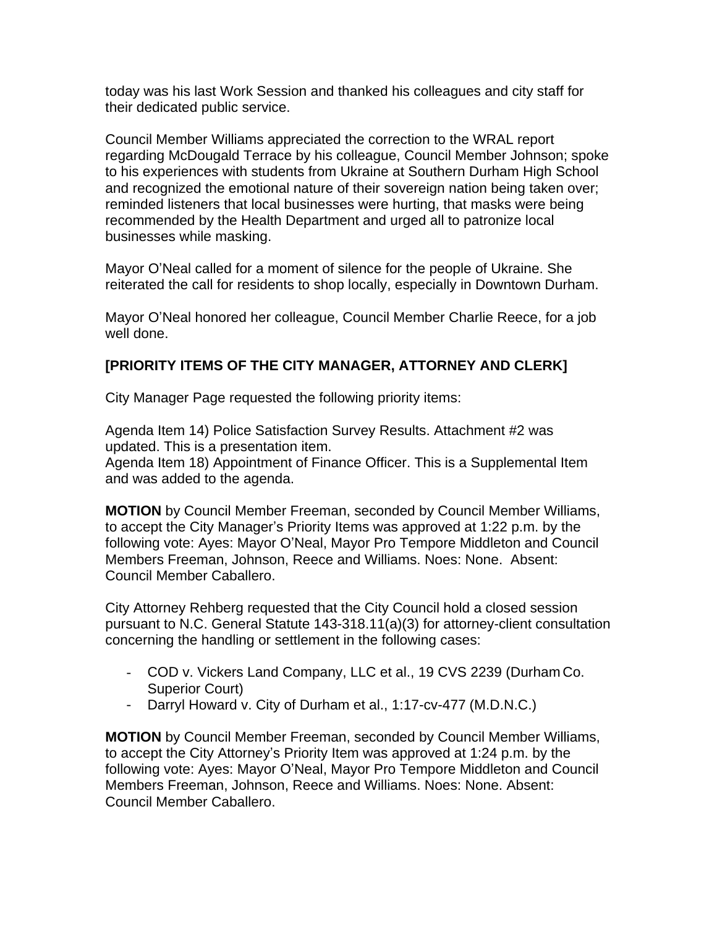today was his last Work Session and thanked his colleagues and city staff for their dedicated public service.

Council Member Williams appreciated the correction to the WRAL report regarding McDougald Terrace by his colleague, Council Member Johnson; spoke to his experiences with students from Ukraine at Southern Durham High School and recognized the emotional nature of their sovereign nation being taken over; reminded listeners that local businesses were hurting, that masks were being recommended by the Health Department and urged all to patronize local businesses while masking.

Mayor O'Neal called for a moment of silence for the people of Ukraine. She reiterated the call for residents to shop locally, especially in Downtown Durham.

Mayor O'Neal honored her colleague, Council Member Charlie Reece, for a job well done.

## **[PRIORITY ITEMS OF THE CITY MANAGER, ATTORNEY AND CLERK]**

City Manager Page requested the following priority items:

Agenda Item 14) Police Satisfaction Survey Results. Attachment #2 was updated. This is a presentation item.

Agenda Item 18) Appointment of Finance Officer. This is a Supplemental Item and was added to the agenda.

**MOTION** by Council Member Freeman, seconded by Council Member Williams, to accept the City Manager's Priority Items was approved at 1:22 p.m. by the following vote: Ayes: Mayor O'Neal, Mayor Pro Tempore Middleton and Council Members Freeman, Johnson, Reece and Williams. Noes: None. Absent: Council Member Caballero.

City Attorney Rehberg requested that the City Council hold a closed session pursuant to N.C. General Statute 143-318.11(a)(3) for attorney-client consultation concerning the handling or settlement in the following cases:

- COD v. Vickers Land Company, LLC et al., 19 CVS 2239 (Durham Co. Superior Court)
- Darryl Howard v. City of Durham et al., 1:17-cv-477 (M.D.N.C.)

**MOTION** by Council Member Freeman, seconded by Council Member Williams, to accept the City Attorney's Priority Item was approved at 1:24 p.m. by the following vote: Ayes: Mayor O'Neal, Mayor Pro Tempore Middleton and Council Members Freeman, Johnson, Reece and Williams. Noes: None. Absent: Council Member Caballero.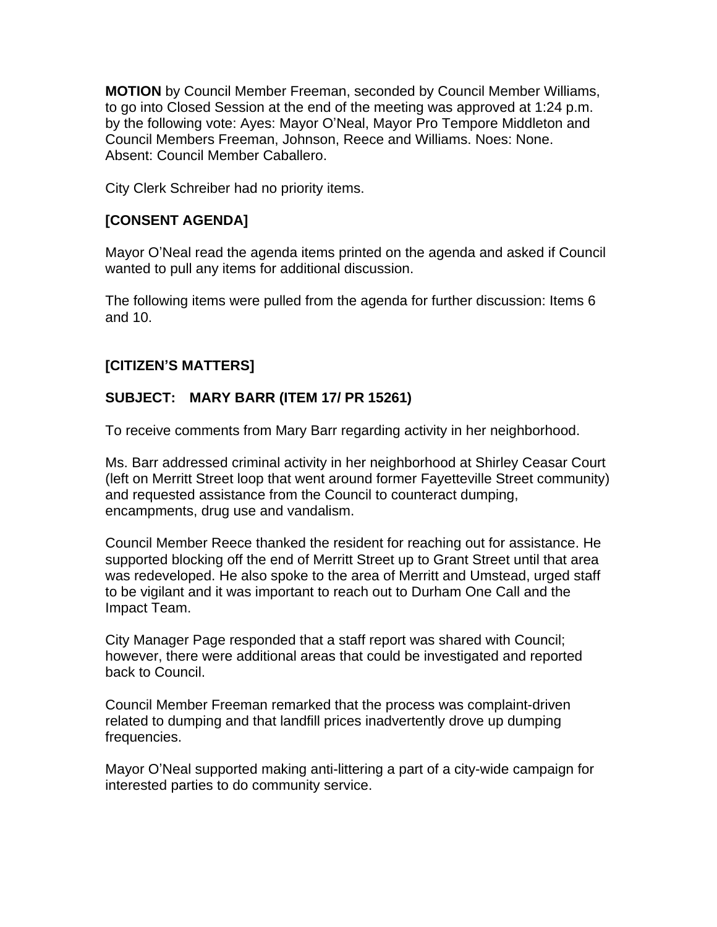**MOTION** by Council Member Freeman, seconded by Council Member Williams, to go into Closed Session at the end of the meeting was approved at 1:24 p.m. by the following vote: Ayes: Mayor O'Neal, Mayor Pro Tempore Middleton and Council Members Freeman, Johnson, Reece and Williams. Noes: None. Absent: Council Member Caballero.

City Clerk Schreiber had no priority items.

## **[CONSENT AGENDA]**

Mayor O'Neal read the agenda items printed on the agenda and asked if Council wanted to pull any items for additional discussion.

The following items were pulled from the agenda for further discussion: Items 6 and 10.

## **[CITIZEN'S MATTERS]**

## **SUBJECT: MARY BARR (ITEM 17/ PR 15261)**

To receive comments from Mary Barr regarding activity in her neighborhood.

Ms. Barr addressed criminal activity in her neighborhood at Shirley Ceasar Court (left on Merritt Street loop that went around former Fayetteville Street community) and requested assistance from the Council to counteract dumping, encampments, drug use and vandalism.

Council Member Reece thanked the resident for reaching out for assistance. He supported blocking off the end of Merritt Street up to Grant Street until that area was redeveloped. He also spoke to the area of Merritt and Umstead, urged staff to be vigilant and it was important to reach out to Durham One Call and the Impact Team.

City Manager Page responded that a staff report was shared with Council; however, there were additional areas that could be investigated and reported back to Council.

Council Member Freeman remarked that the process was complaint-driven related to dumping and that landfill prices inadvertently drove up dumping frequencies.

Mayor O'Neal supported making anti-littering a part of a city-wide campaign for interested parties to do community service.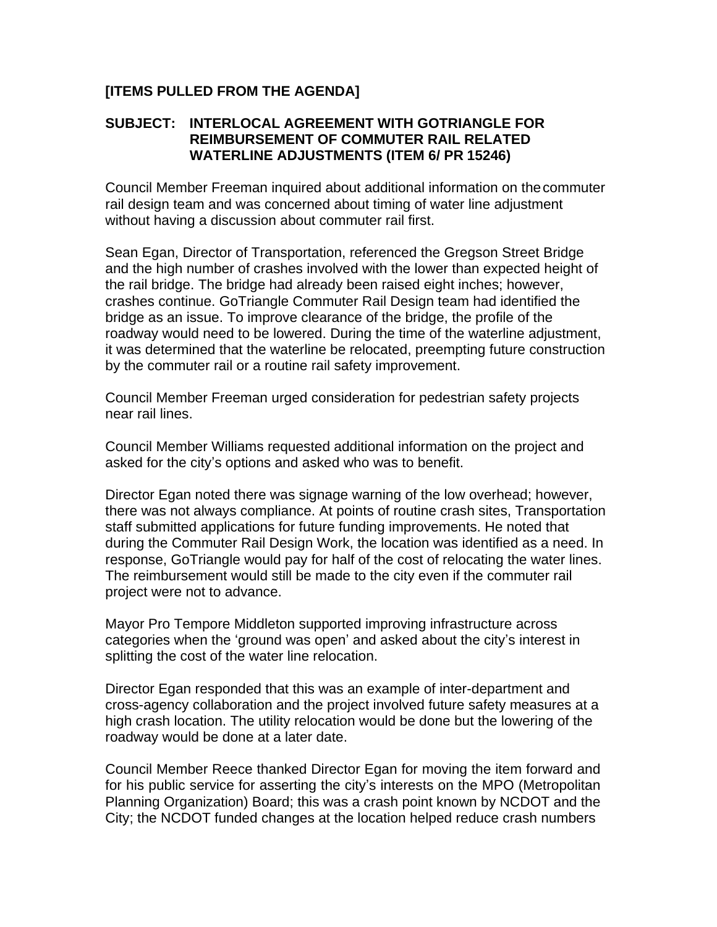### **[ITEMS PULLED FROM THE AGENDA]**

### **SUBJECT: INTERLOCAL AGREEMENT WITH GOTRIANGLE FOR REIMBURSEMENT OF COMMUTER RAIL RELATED WATERLINE ADJUSTMENTS (ITEM 6/ PR 15246)**

Council Member Freeman inquired about additional information on thecommuter rail design team and was concerned about timing of water line adjustment without having a discussion about commuter rail first.

Sean Egan, Director of Transportation, referenced the Gregson Street Bridge and the high number of crashes involved with the lower than expected height of the rail bridge. The bridge had already been raised eight inches; however, crashes continue. GoTriangle Commuter Rail Design team had identified the bridge as an issue. To improve clearance of the bridge, the profile of the roadway would need to be lowered. During the time of the waterline adjustment, it was determined that the waterline be relocated, preempting future construction by the commuter rail or a routine rail safety improvement.

Council Member Freeman urged consideration for pedestrian safety projects near rail lines.

Council Member Williams requested additional information on the project and asked for the city's options and asked who was to benefit.

Director Egan noted there was signage warning of the low overhead; however, there was not always compliance. At points of routine crash sites, Transportation staff submitted applications for future funding improvements. He noted that during the Commuter Rail Design Work, the location was identified as a need. In response, GoTriangle would pay for half of the cost of relocating the water lines. The reimbursement would still be made to the city even if the commuter rail project were not to advance.

Mayor Pro Tempore Middleton supported improving infrastructure across categories when the 'ground was open' and asked about the city's interest in splitting the cost of the water line relocation.

Director Egan responded that this was an example of inter-department and cross-agency collaboration and the project involved future safety measures at a high crash location. The utility relocation would be done but the lowering of the roadway would be done at a later date.

Council Member Reece thanked Director Egan for moving the item forward and for his public service for asserting the city's interests on the MPO (Metropolitan Planning Organization) Board; this was a crash point known by NCDOT and the City; the NCDOT funded changes at the location helped reduce crash numbers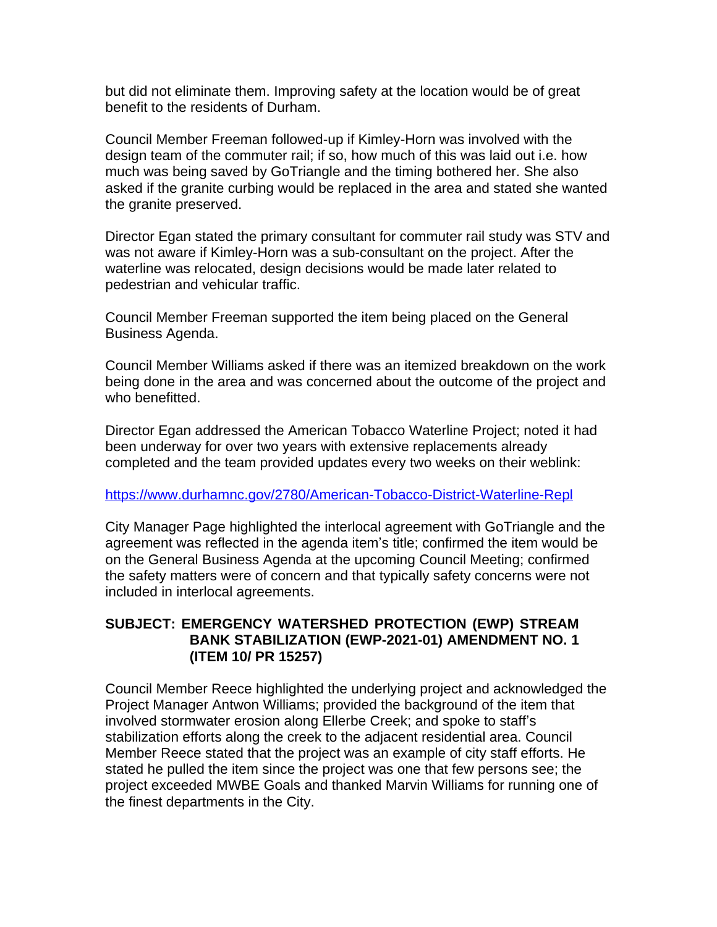but did not eliminate them. Improving safety at the location would be of great benefit to the residents of Durham.

Council Member Freeman followed-up if Kimley-Horn was involved with the design team of the commuter rail; if so, how much of this was laid out i.e. how much was being saved by GoTriangle and the timing bothered her. She also asked if the granite curbing would be replaced in the area and stated she wanted the granite preserved.

Director Egan stated the primary consultant for commuter rail study was STV and was not aware if Kimley-Horn was a sub-consultant on the project. After the waterline was relocated, design decisions would be made later related to pedestrian and vehicular traffic.

Council Member Freeman supported the item being placed on the General Business Agenda.

Council Member Williams asked if there was an itemized breakdown on the work being done in the area and was concerned about the outcome of the project and who benefitted.

Director Egan addressed the American Tobacco Waterline Project; noted it had been underway for over two years with extensive replacements already completed and the team provided updates every two weeks on their weblink:

### <https://www.durhamnc.gov/2780/American-Tobacco-District-Waterline-Repl>

City Manager Page highlighted the interlocal agreement with GoTriangle and the agreement was reflected in the agenda item's title; confirmed the item would be on the General Business Agenda at the upcoming Council Meeting; confirmed the safety matters were of concern and that typically safety concerns were not included in interlocal agreements.

### **SUBJECT: EMERGENCY WATERSHED PROTECTION (EWP) STREAM BANK STABILIZATION (EWP-2021-01) AMENDMENT NO. 1 (ITEM 10/ PR 15257)**

Council Member Reece highlighted the underlying project and acknowledged the Project Manager Antwon Williams; provided the background of the item that involved stormwater erosion along Ellerbe Creek; and spoke to staff's stabilization efforts along the creek to the adjacent residential area. Council Member Reece stated that the project was an example of city staff efforts. He stated he pulled the item since the project was one that few persons see; the project exceeded MWBE Goals and thanked Marvin Williams for running one of the finest departments in the City.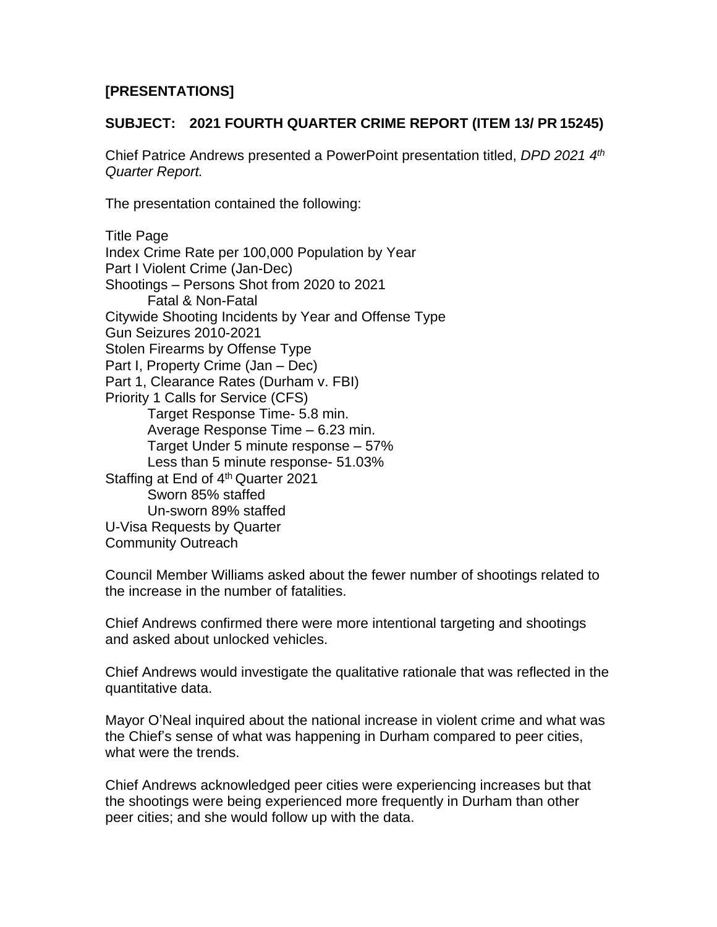## **[PRESENTATIONS]**

### **SUBJECT: 2021 FOURTH QUARTER CRIME REPORT (ITEM 13/ PR 15245)**

Chief Patrice Andrews presented a PowerPoint presentation titled, *DPD 2021 4th Quarter Report.*

The presentation contained the following:

Title Page Index Crime Rate per 100,000 Population by Year Part I Violent Crime (Jan-Dec) Shootings – Persons Shot from 2020 to 2021 Fatal & Non-Fatal Citywide Shooting Incidents by Year and Offense Type Gun Seizures 2010-2021 Stolen Firearms by Offense Type Part I, Property Crime (Jan – Dec) Part 1, Clearance Rates (Durham v. FBI) Priority 1 Calls for Service (CFS) Target Response Time- 5.8 min. Average Response Time – 6.23 min. Target Under 5 minute response – 57% Less than 5 minute response- 51.03% Staffing at End of 4<sup>th</sup> Quarter 2021 Sworn 85% staffed Un-sworn 89% staffed U-Visa Requests by Quarter Community Outreach

Council Member Williams asked about the fewer number of shootings related to the increase in the number of fatalities.

Chief Andrews confirmed there were more intentional targeting and shootings and asked about unlocked vehicles.

Chief Andrews would investigate the qualitative rationale that was reflected in the quantitative data.

Mayor O'Neal inquired about the national increase in violent crime and what was the Chief's sense of what was happening in Durham compared to peer cities, what were the trends.

Chief Andrews acknowledged peer cities were experiencing increases but that the shootings were being experienced more frequently in Durham than other peer cities; and she would follow up with the data.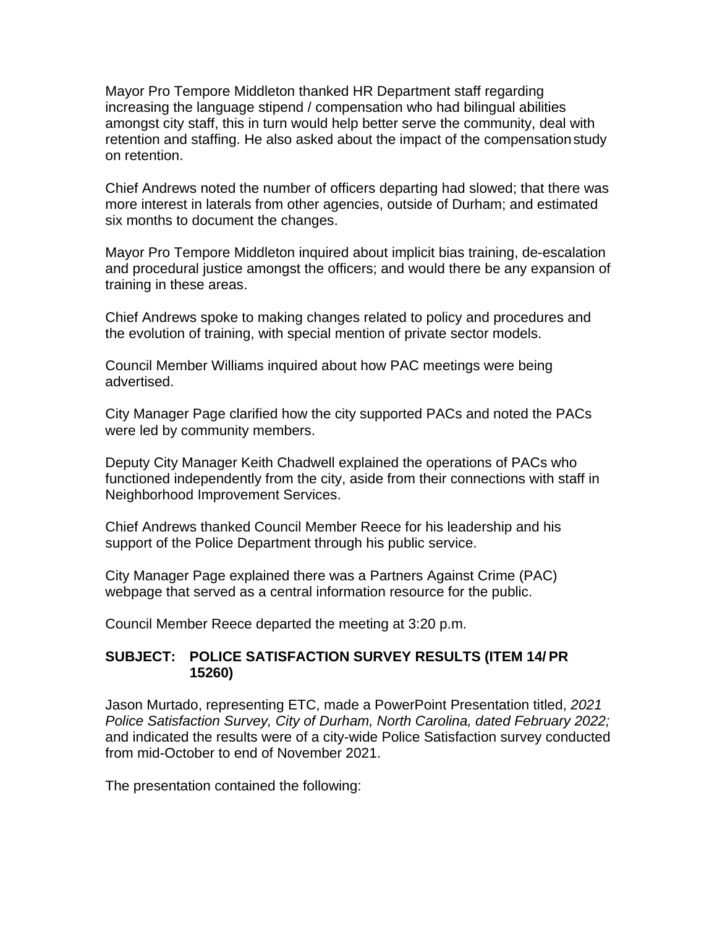Mayor Pro Tempore Middleton thanked HR Department staff regarding increasing the language stipend / compensation who had bilingual abilities amongst city staff, this in turn would help better serve the community, deal with retention and staffing. He also asked about the impact of the compensationstudy on retention.

Chief Andrews noted the number of officers departing had slowed; that there was more interest in laterals from other agencies, outside of Durham; and estimated six months to document the changes.

Mayor Pro Tempore Middleton inquired about implicit bias training, de-escalation and procedural justice amongst the officers; and would there be any expansion of training in these areas.

Chief Andrews spoke to making changes related to policy and procedures and the evolution of training, with special mention of private sector models.

Council Member Williams inquired about how PAC meetings were being advertised.

City Manager Page clarified how the city supported PACs and noted the PACs were led by community members.

Deputy City Manager Keith Chadwell explained the operations of PACs who functioned independently from the city, aside from their connections with staff in Neighborhood Improvement Services.

Chief Andrews thanked Council Member Reece for his leadership and his support of the Police Department through his public service.

City Manager Page explained there was a Partners Against Crime (PAC) webpage that served as a central information resource for the public.

Council Member Reece departed the meeting at 3:20 p.m.

### **SUBJECT: POLICE SATISFACTION SURVEY RESULTS (ITEM 14/ PR 15260)**

Jason Murtado, representing ETC, made a PowerPoint Presentation titled, *2021 Police Satisfaction Survey, City of Durham, North Carolina, dated February 2022;* and indicated the results were of a city-wide Police Satisfaction survey conducted from mid-October to end of November 2021.

The presentation contained the following: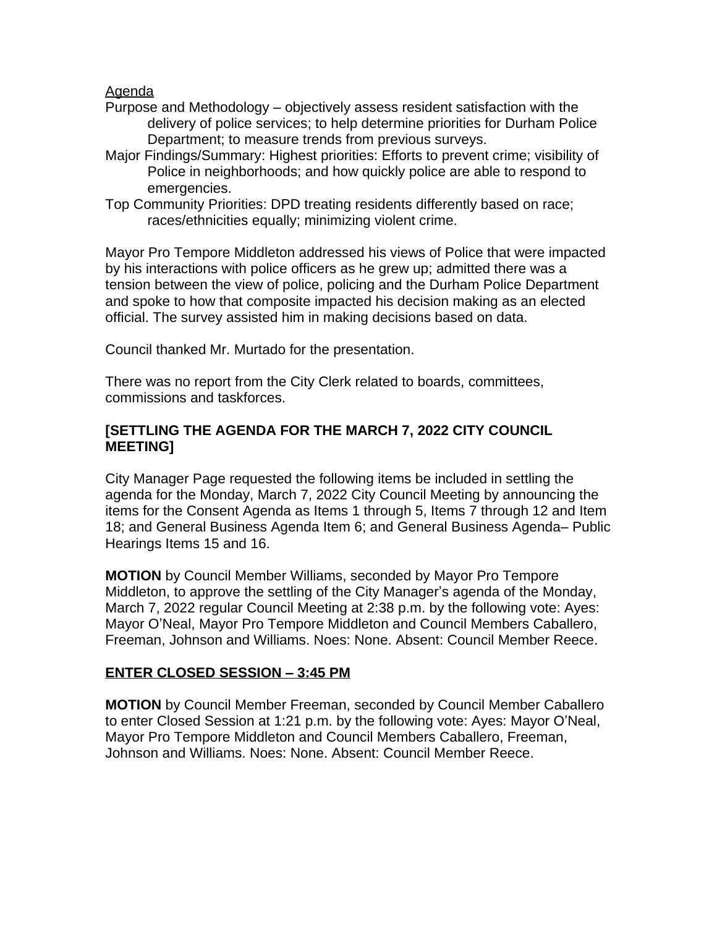#### Agenda

- Purpose and Methodology objectively assess resident satisfaction with the delivery of police services; to help determine priorities for Durham Police Department; to measure trends from previous surveys.
- Major Findings/Summary: Highest priorities: Efforts to prevent crime; visibility of Police in neighborhoods; and how quickly police are able to respond to emergencies.
- Top Community Priorities: DPD treating residents differently based on race; races/ethnicities equally; minimizing violent crime.

Mayor Pro Tempore Middleton addressed his views of Police that were impacted by his interactions with police officers as he grew up; admitted there was a tension between the view of police, policing and the Durham Police Department and spoke to how that composite impacted his decision making as an elected official. The survey assisted him in making decisions based on data.

Council thanked Mr. Murtado for the presentation.

There was no report from the City Clerk related to boards, committees, commissions and taskforces.

### **[SETTLING THE AGENDA FOR THE MARCH 7, 2022 CITY COUNCIL MEETING]**

City Manager Page requested the following items be included in settling the agenda for the Monday, March 7, 2022 City Council Meeting by announcing the items for the Consent Agenda as Items 1 through 5, Items 7 through 12 and Item 18; and General Business Agenda Item 6; and General Business Agenda– Public Hearings Items 15 and 16.

**MOTION** by Council Member Williams, seconded by Mayor Pro Tempore Middleton, to approve the settling of the City Manager's agenda of the Monday, March 7, 2022 regular Council Meeting at 2:38 p.m. by the following vote: Ayes: Mayor O'Neal, Mayor Pro Tempore Middleton and Council Members Caballero, Freeman, Johnson and Williams. Noes: None. Absent: Council Member Reece.

## **ENTER CLOSED SESSION – 3:45 PM**

**MOTION** by Council Member Freeman, seconded by Council Member Caballero to enter Closed Session at 1:21 p.m. by the following vote: Ayes: Mayor O'Neal, Mayor Pro Tempore Middleton and Council Members Caballero, Freeman, Johnson and Williams. Noes: None. Absent: Council Member Reece.